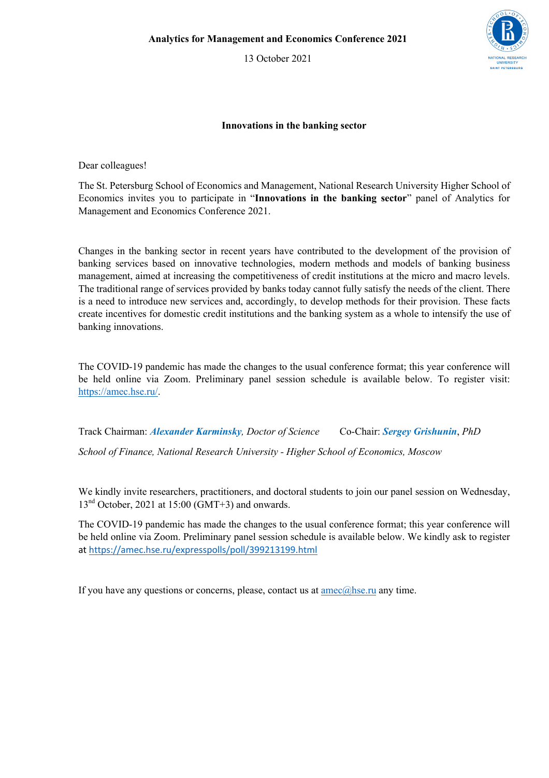13 October 2021



## **Innovations in the banking sector**

Dear colleagues!

The St. Petersburg School of Economics and Management, National Research University Higher School of Economics invites you to participate in "**Innovations in the banking sector**" panel of Analytics for Management and Economics Conference 2021.

Changes in the banking sector in recent years have contributed to the development of the provision of banking services based on innovative technologies, modern methods and models of banking business management, aimed at increasing the competitiveness of credit institutions at the micro and macro levels. The traditional range of services provided by banks today cannot fully satisfy the needs of the client. There is a need to introduce new services and, accordingly, to develop methods for their provision. These facts create incentives for domestic credit institutions and the banking system as a whole to intensify the use of banking innovations.

The COVID-19 pandemic has made the changes to the usual conference format; this year conference will be held online via Zoom. Preliminary panel session schedule is available below. To register visit: https://amec.hse.ru/.

Track Chairman: *Alexander Karminsky, Doctor of Science* Co-Chair: *Sergey Grishunin*, *PhD School of Finance, National Research University - Higher School of Economics, Moscow*

We kindly invite researchers, practitioners, and doctoral students to join our panel session on Wednesday,  $13<sup>nd</sup> October, 2021 at 15:00 (GMT+3) and onwards.$ 

The COVID-19 pandemic has made the changes to the usual conference format; this year conference will be held online via Zoom. Preliminary panel session schedule is available below. We kindly ask to register at https://amec.hse.ru/expresspolls/poll/399213199.html

If you have any questions or concerns, please, contact us at  $\frac{ame(a)$ hse.ru any time.